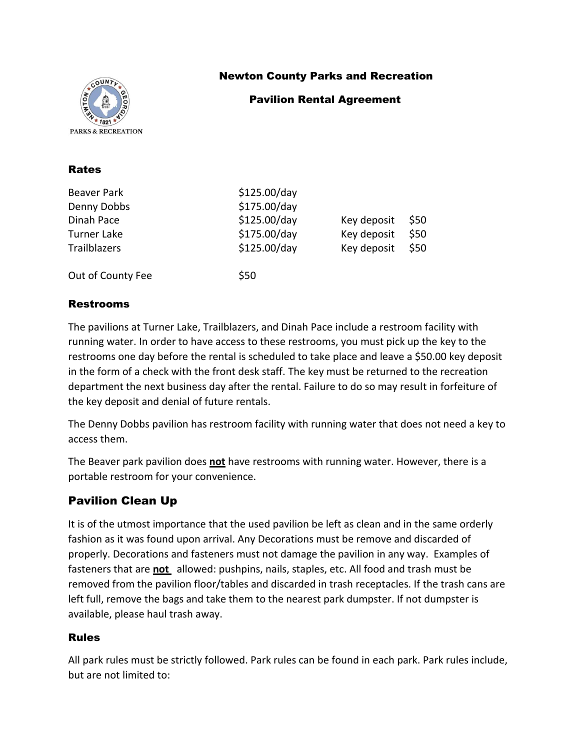

Rates

## Newton County Parks and Recreation

### Pavilion Rental Agreement

| Beaver Park<br>Denny Dobbs<br>Dinah Pace<br><b>Turner Lake</b><br>Trailblazers | \$125.00/day<br>\$175.00/day<br>\$125.00/day<br>\$175.00/day<br>\$125.00/day | Key deposit<br>Key deposit<br>Key deposit | \$50<br>\$50<br>\$50 |
|--------------------------------------------------------------------------------|------------------------------------------------------------------------------|-------------------------------------------|----------------------|
| Out of County Fee                                                              | \$50                                                                         |                                           |                      |

### Restrooms

The pavilions at Turner Lake, Trailblazers, and Dinah Pace include a restroom facility with running water. In order to have access to these restrooms, you must pick up the key to the restrooms one day before the rental is scheduled to take place and leave a \$50.00 key deposit in the form of a check with the front desk staff. The key must be returned to the recreation department the next business day after the rental. Failure to do so may result in forfeiture of the key deposit and denial of future rentals.

The Denny Dobbs pavilion has restroom facility with running water that does not need a key to access them.

The Beaver park pavilion does **not** have restrooms with running water. However, there is a portable restroom for your convenience.

## Pavilion Clean Up

It is of the utmost importance that the used pavilion be left as clean and in the same orderly fashion as it was found upon arrival. Any Decorations must be remove and discarded of properly. Decorations and fasteners must not damage the pavilion in any way. Examples of fasteners that are **not** allowed: pushpins, nails, staples, etc. All food and trash must be removed from the pavilion floor/tables and discarded in trash receptacles. If the trash cans are left full, remove the bags and take them to the nearest park dumpster. If not dumpster is available, please haul trash away.

#### Rules

All park rules must be strictly followed. Park rules can be found in each park. Park rules include, but are not limited to: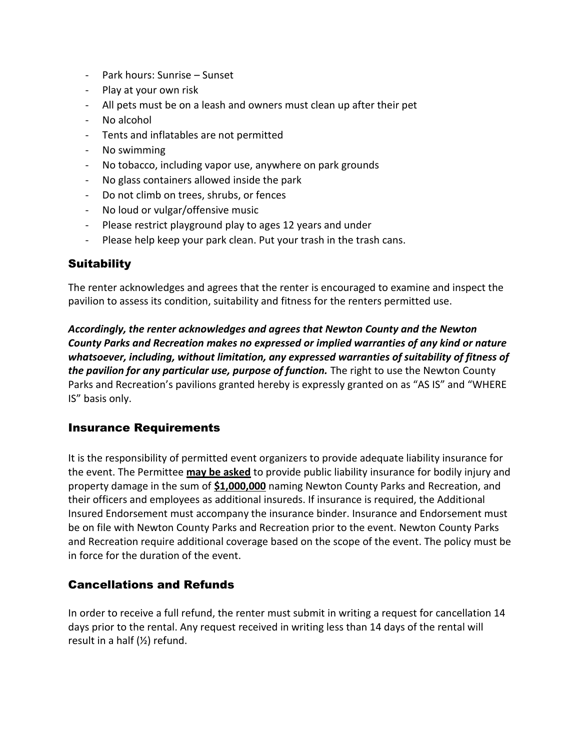- Park hours: Sunrise Sunset
- Play at your own risk
- All pets must be on a leash and owners must clean up after their pet
- No alcohol
- Tents and inflatables are not permitted
- No swimming
- No tobacco, including vapor use, anywhere on park grounds
- No glass containers allowed inside the park
- Do not climb on trees, shrubs, or fences
- No loud or vulgar/offensive music
- Please restrict playground play to ages 12 years and under
- Please help keep your park clean. Put your trash in the trash cans.

## **Suitability**

The renter acknowledges and agrees that the renter is encouraged to examine and inspect the pavilion to assess its condition, suitability and fitness for the renters permitted use.

*Accordingly, the renter acknowledges and agrees that Newton County and the Newton County Parks and Recreation makes no expressed or implied warranties of any kind or nature whatsoever, including, without limitation, any expressed warranties of suitability of fitness of the pavilion for any particular use, purpose of function.* The right to use the Newton County Parks and Recreation's pavilions granted hereby is expressly granted on as "AS IS" and "WHERE IS" basis only.

### Insurance Requirements

It is the responsibility of permitted event organizers to provide adequate liability insurance for the event. The Permittee **may be asked** to provide public liability insurance for bodily injury and property damage in the sum of **\$1,000,000** naming Newton County Parks and Recreation, and their officers and employees as additional insureds. If insurance is required, the Additional Insured Endorsement must accompany the insurance binder. Insurance and Endorsement must be on file with Newton County Parks and Recreation prior to the event. Newton County Parks and Recreation require additional coverage based on the scope of the event. The policy must be in force for the duration of the event.

## Cancellations and Refunds

In order to receive a full refund, the renter must submit in writing a request for cancellation 14 days prior to the rental. Any request received in writing less than 14 days of the rental will result in a half (½) refund.